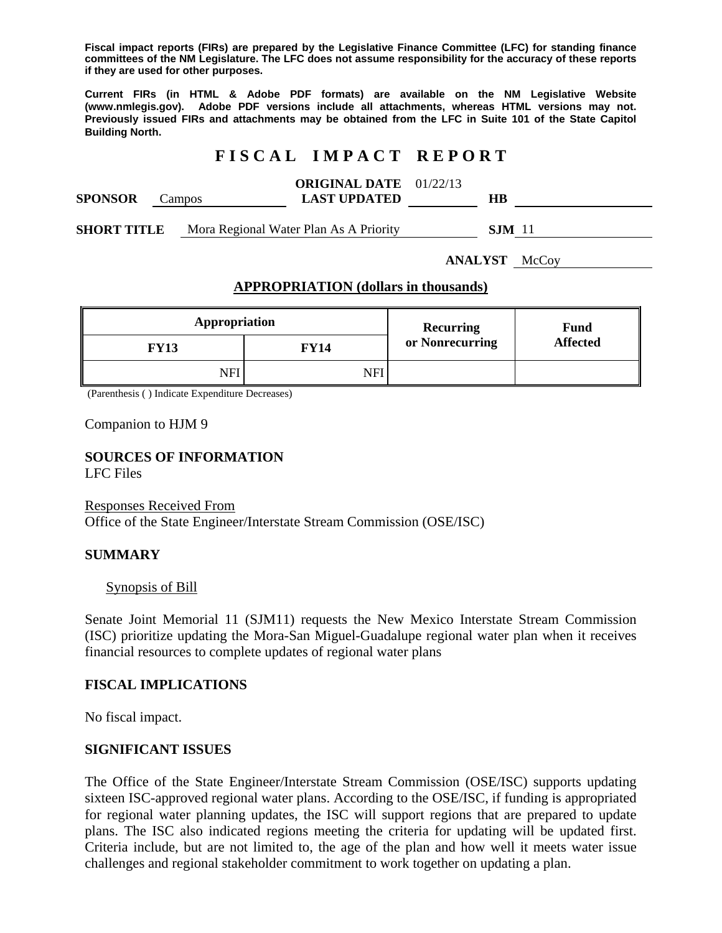**Fiscal impact reports (FIRs) are prepared by the Legislative Finance Committee (LFC) for standing finance committees of the NM Legislature. The LFC does not assume responsibility for the accuracy of these reports if they are used for other purposes.** 

**Current FIRs (in HTML & Adobe PDF formats) are available on the NM Legislative Website (www.nmlegis.gov). Adobe PDF versions include all attachments, whereas HTML versions may not. Previously issued FIRs and attachments may be obtained from the LFC in Suite 101 of the State Capitol Building North.**

## **F I S C A L I M P A C T R E P O R T**

| <b>SPONSOR</b>     | Campos |  | <b>ORIGINAL DATE</b> 01/22/13<br><b>LAST UPDATED</b> | HВ            |  |
|--------------------|--------|--|------------------------------------------------------|---------------|--|
| <b>SHORT TITLE</b> |        |  | Mora Regional Water Plan As A Priority               | <b>SJM</b> 11 |  |

**ANALYST** McCoy

### **APPROPRIATION (dollars in thousands)**

| Appropriation |      | Recurring       | <b>Fund</b><br><b>Affected</b> |
|---------------|------|-----------------|--------------------------------|
| <b>FY13</b>   | FY14 | or Nonrecurring |                                |
| NFI           | N F' |                 |                                |

(Parenthesis ( ) Indicate Expenditure Decreases)

Companion to HJM 9

#### **SOURCES OF INFORMATION**  LFC Files

#### Responses Received From

Office of the State Engineer/Interstate Stream Commission (OSE/ISC)

#### **SUMMARY**

#### Synopsis of Bill

Senate Joint Memorial 11 (SJM11) requests the New Mexico Interstate Stream Commission (ISC) prioritize updating the Mora-San Miguel-Guadalupe regional water plan when it receives financial resources to complete updates of regional water plans

#### **FISCAL IMPLICATIONS**

No fiscal impact.

#### **SIGNIFICANT ISSUES**

The Office of the State Engineer/Interstate Stream Commission (OSE/ISC) supports updating sixteen ISC-approved regional water plans. According to the OSE/ISC, if funding is appropriated for regional water planning updates, the ISC will support regions that are prepared to update plans. The ISC also indicated regions meeting the criteria for updating will be updated first. Criteria include, but are not limited to, the age of the plan and how well it meets water issue challenges and regional stakeholder commitment to work together on updating a plan.